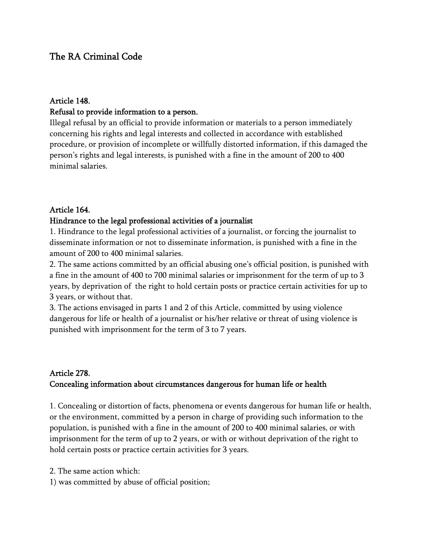# The RA Criminal Code

#### Article 148.

#### Refusal to provide information to a person.

Illegal refusal by an official to provide information or materials to a person immediately concerning his rights and legal interests and collected in accordance with established procedure, or provision of incomplete or willfully distorted information, if this damaged the person's rights and legal interests, is punished with a fine in the amount of 200 to 400 minimal salaries.

#### Article 164.

#### Hindrance to the legal professional activities of a journalist

1. Hindrance to the legal professional activities of a journalist, or forcing the journalist to disseminate information or not to disseminate information, is punished with a fine in the amount of 200 to 400 minimal salaries.

2. The same actions committed by an official abusing one's official position, is punished with a fine in the amount of 400 to 700 minimal salaries or imprisonment for the term of up to 3 years, by deprivation of the right to hold certain posts or practice certain activities for up to 3 years, or without that.

3. The actions envisaged in parts 1 and 2 of this Article, committed by using violence dangerous for life or health of a journalist or his/her relative or threat of using violence is punished with imprisonment for the term of 3 to 7 years.

### Article 278. Concealing information about circumstances dangerous for human life or health

1. Concealing or distortion of facts, phenomena or events dangerous for human life or health, or the environment, committed by a person in charge of providing such information to the population, is punished with a fine in the amount of 200 to 400 minimal salaries, or with imprisonment for the term of up to 2 years, or with or without deprivation of the right to hold certain posts or practice certain activities for 3 years.

2. The same action which:

1) was committed by abuse of official position;